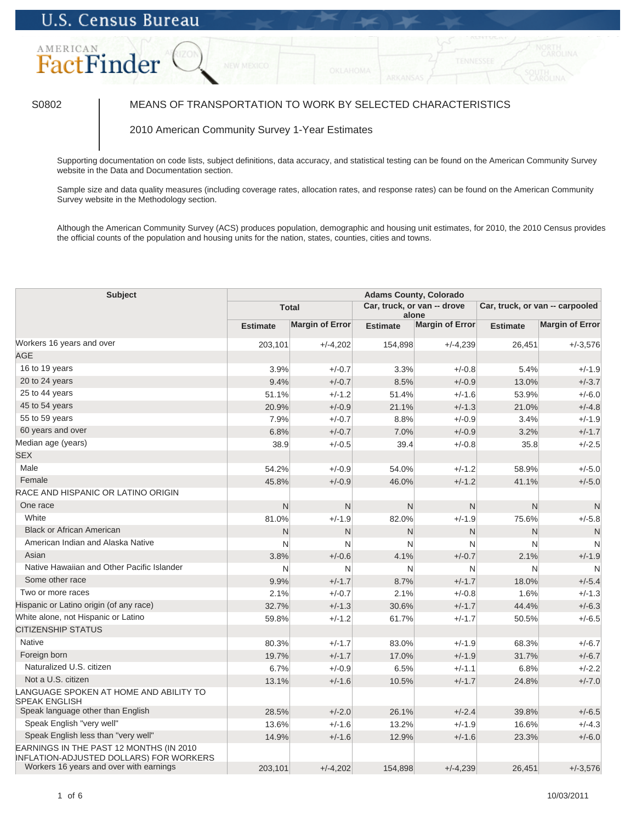# **U.S. Census Bureau**



## S0802 MEANS OF TRANSPORTATION TO WORK BY SELECTED CHARACTERISTICS

### 2010 American Community Survey 1-Year Estimates

Supporting documentation on code lists, subject definitions, data accuracy, and statistical testing can be found on the American Community Survey website in the Data and Documentation section.

Sample size and data quality measures (including coverage rates, allocation rates, and response rates) can be found on the American Community Survey website in the Methodology section.

Although the American Community Survey (ACS) produces population, demographic and housing unit estimates, for 2010, the 2010 Census provides the official counts of the population and housing units for the nation, states, counties, cities and towns.

| <b>Subject</b>                                                                            | <b>Adams County, Colorado</b> |                        |                                      |                        |                                 |                        |
|-------------------------------------------------------------------------------------------|-------------------------------|------------------------|--------------------------------------|------------------------|---------------------------------|------------------------|
|                                                                                           | <b>Total</b>                  |                        | Car, truck, or van -- drove<br>alone |                        | Car, truck, or van -- carpooled |                        |
|                                                                                           | <b>Estimate</b>               | <b>Margin of Error</b> | <b>Estimate</b>                      | <b>Margin of Error</b> | <b>Estimate</b>                 | <b>Margin of Error</b> |
| Workers 16 years and over                                                                 | 203,101                       | $+/-4,202$             | 154,898                              | $+/-4,239$             | 26,451                          | $+/-3.576$             |
| <b>AGE</b>                                                                                |                               |                        |                                      |                        |                                 |                        |
| 16 to 19 years                                                                            | 3.9%                          | $+/-0.7$               | 3.3%                                 | $+/-0.8$               | 5.4%                            | $+/-1.9$               |
| 20 to 24 years                                                                            | 9.4%                          | $+/-0.7$               | 8.5%                                 | $+/-0.9$               | 13.0%                           | $+/-3.7$               |
| 25 to 44 years                                                                            | 51.1%                         | $+/-1.2$               | 51.4%                                | $+/-1.6$               | 53.9%                           | $+/-6.0$               |
| 45 to 54 years                                                                            | 20.9%                         | $+/-0.9$               | 21.1%                                | $+/-1.3$               | 21.0%                           | $+/-4.8$               |
| 55 to 59 years                                                                            | 7.9%                          | $+/-0.7$               | 8.8%                                 | $+/-0.9$               | 3.4%                            | $+/-1.9$               |
| 60 years and over                                                                         | 6.8%                          | $+/-0.7$               | 7.0%                                 | $+/-0.9$               | 3.2%                            | $+/-1.7$               |
| Median age (years)                                                                        | 38.9                          | $+/-0.5$               | 39.4                                 | $+/-0.8$               | 35.8                            | $+/-2.5$               |
| <b>SEX</b>                                                                                |                               |                        |                                      |                        |                                 |                        |
| Male                                                                                      | 54.2%                         | $+/-0.9$               | 54.0%                                | $+/-1.2$               | 58.9%                           | $+/-5.0$               |
| Female                                                                                    | 45.8%                         | $+/-0.9$               | 46.0%                                | $+/-1.2$               | 41.1%                           | $+/-5.0$               |
| RACE AND HISPANIC OR LATINO ORIGIN                                                        |                               |                        |                                      |                        |                                 |                        |
| One race                                                                                  | N                             | $\mathsf{N}$           | N                                    | N                      | N                               | N                      |
| White                                                                                     | 81.0%                         | $+/-1.9$               | 82.0%                                | $+/-1.9$               | 75.6%                           | $+/-5.8$               |
| <b>Black or African American</b>                                                          | N                             | N                      | N                                    | N                      | N                               | N                      |
| American Indian and Alaska Native                                                         | N                             | N                      | N                                    | N                      | N                               | N                      |
| Asian                                                                                     | 3.8%                          | $+/-0.6$               | 4.1%                                 | $+/-0.7$               | 2.1%                            | $+/-1.9$               |
| Native Hawaiian and Other Pacific Islander                                                | N                             | N                      | N                                    | N                      | N                               | N                      |
| Some other race                                                                           | 9.9%                          | $+/-1.7$               | 8.7%                                 | $+/-1.7$               | 18.0%                           | $+/-5.4$               |
| Two or more races                                                                         | 2.1%                          | $+/-0.7$               | 2.1%                                 | $+/-0.8$               | 1.6%                            | $+/-1.3$               |
| Hispanic or Latino origin (of any race)                                                   | 32.7%                         | $+/-1.3$               | 30.6%                                | $+/-1.7$               | 44.4%                           | $+/-6.3$               |
| White alone, not Hispanic or Latino                                                       | 59.8%                         | $+/-1.2$               | 61.7%                                | $+/-1.7$               | 50.5%                           | $+/-6.5$               |
| <b>CITIZENSHIP STATUS</b>                                                                 |                               |                        |                                      |                        |                                 |                        |
| <b>Native</b>                                                                             | 80.3%                         | $+/-1.7$               | 83.0%                                | $+/-1.9$               | 68.3%                           | $+/-6.7$               |
| Foreign born                                                                              | 19.7%                         | $+/-1.7$               | 17.0%                                | $+/-1.9$               | 31.7%                           | $+/-6.7$               |
| Naturalized U.S. citizen                                                                  | 6.7%                          | $+/-0.9$               | 6.5%                                 | $+/-1.1$               | 6.8%                            | $+/-2.2$               |
| Not a U.S. citizen                                                                        | 13.1%                         | $+/-1.6$               | 10.5%                                | $+/-1.7$               | 24.8%                           | $+/-7.0$               |
| LANGUAGE SPOKEN AT HOME AND ABILITY TO<br><b>SPEAK ENGLISH</b>                            |                               |                        |                                      |                        |                                 |                        |
| Speak language other than English                                                         | 28.5%                         | $+/-2.0$               | 26.1%                                | $+/-2.4$               | 39.8%                           | $+/-6.5$               |
| Speak English "very well"                                                                 | 13.6%                         | $+/-1.6$               | 13.2%                                | $+/-1.9$               | 16.6%                           | $+/-4.3$               |
| Speak English less than "very well"                                                       | 14.9%                         | $+/-1.6$               | 12.9%                                | $+/-1.6$               | 23.3%                           | $+/-6.0$               |
| EARNINGS IN THE PAST 12 MONTHS (IN 2010<br><b>INFLATION-ADJUSTED DOLLARS) FOR WORKERS</b> |                               |                        |                                      |                        |                                 |                        |
| Workers 16 years and over with earnings                                                   | 203,101                       | $+/-4,202$             | 154,898                              | $+/-4,239$             | 26,451                          | $+/-3.576$             |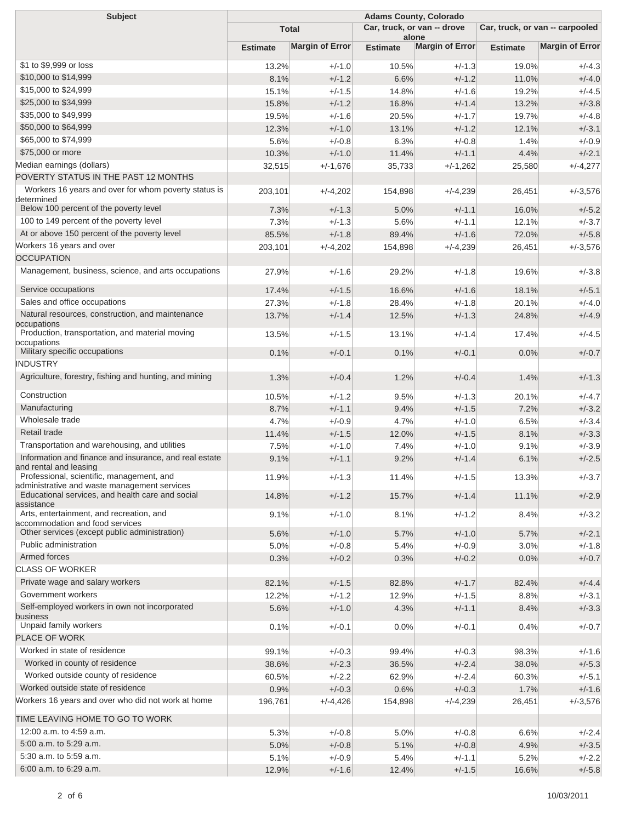| <b>Subject</b>                                                                            | <b>Adams County, Colorado</b> |                                             |                          |                                 |                 |                        |
|-------------------------------------------------------------------------------------------|-------------------------------|---------------------------------------------|--------------------------|---------------------------------|-----------------|------------------------|
|                                                                                           |                               | Car, truck, or van -- drove<br><b>Total</b> |                          | Car, truck, or van -- carpooled |                 |                        |
|                                                                                           | <b>Estimate</b>               | <b>Margin of Error</b>                      | alone<br><b>Estimate</b> | <b>Margin of Error</b>          | <b>Estimate</b> | <b>Margin of Error</b> |
| \$1 to \$9,999 or loss                                                                    | 13.2%                         | $+/-1.0$                                    | 10.5%                    | $+/-1.3$                        | 19.0%           | $+/-4.3$               |
| \$10,000 to \$14,999                                                                      | 8.1%                          | $+/-1.2$                                    | 6.6%                     | $+/-1.2$                        | 11.0%           | $+/-4.0$               |
| \$15,000 to \$24,999                                                                      | 15.1%                         | $+/-1.5$                                    | 14.8%                    | $+/-1.6$                        | 19.2%           | $+/-4.5$               |
| \$25,000 to \$34,999                                                                      | 15.8%                         | $+/-1.2$                                    | 16.8%                    | $+/-1.4$                        | 13.2%           | $+/-3.8$               |
| \$35,000 to \$49,999                                                                      | 19.5%                         | $+/-1.6$                                    | 20.5%                    | $+/-1.7$                        | 19.7%           | $+/-4.8$               |
| \$50,000 to \$64,999                                                                      | 12.3%                         | $+/-1.0$                                    | 13.1%                    | $+/-1.2$                        | 12.1%           | $+/-3.1$               |
| \$65,000 to \$74,999                                                                      | 5.6%                          | $+/-0.8$                                    | 6.3%                     | $+/-0.8$                        | 1.4%            | $+/-0.9$               |
| \$75,000 or more                                                                          | 10.3%                         | $+/-1.0$                                    | 11.4%                    | $+/-1.1$                        | 4.4%            | $+/-2.1$               |
| Median earnings (dollars)                                                                 | 32,515                        | $+/-1,676$                                  | 35,733                   | $+/-1,262$                      | 25,580          | $+/-4,277$             |
| POVERTY STATUS IN THE PAST 12 MONTHS                                                      |                               |                                             |                          |                                 |                 |                        |
| Workers 16 years and over for whom poverty status is<br>determined                        | 203,101                       | $+/-4,202$                                  | 154,898                  | $+/-4,239$                      | 26,451          | $+/-3,576$             |
| Below 100 percent of the poverty level                                                    | 7.3%                          | $+/-1.3$                                    | 5.0%                     | $+/-1.1$                        | 16.0%           | $+/-5.2$               |
| 100 to 149 percent of the poverty level                                                   | 7.3%                          | $+/-1.3$                                    | 5.6%                     | $+/-1.1$                        | 12.1%           | $+/-3.7$               |
| At or above 150 percent of the poverty level                                              | 85.5%                         | $+/-1.8$                                    | 89.4%                    | $+/-1.6$                        | 72.0%           | $+/-5.8$               |
| Workers 16 years and over                                                                 | 203,101                       | $+/-4,202$                                  | 154,898                  | $+/-4,239$                      | 26,451          | $+/-3,576$             |
| <b>OCCUPATION</b>                                                                         |                               |                                             |                          |                                 |                 |                        |
| Management, business, science, and arts occupations                                       | 27.9%                         | $+/-1.6$                                    | 29.2%                    | $+/-1.8$                        | 19.6%           | $+/-3.8$               |
| Service occupations                                                                       | 17.4%                         | $+/-1.5$                                    | 16.6%                    | $+/-1.6$                        | 18.1%           | $+/-5.1$               |
| Sales and office occupations                                                              | 27.3%                         | $+/-1.8$                                    | 28.4%                    | $+/-1.8$                        | 20.1%           | $+/-4.0$               |
| Natural resources, construction, and maintenance<br>occupations                           | 13.7%                         | $+/-1.4$                                    | 12.5%                    | $+/-1.3$                        | 24.8%           | $+/-4.9$               |
| Production, transportation, and material moving<br>occupations                            | 13.5%                         | $+/-1.5$                                    | 13.1%                    | $+/-1.4$                        | 17.4%           | $+/-4.5$               |
| Military specific occupations                                                             | 0.1%                          | $+/-0.1$                                    | 0.1%                     | $+/-0.1$                        | 0.0%            | $+/-0.7$               |
| INDUSTRY                                                                                  |                               |                                             |                          |                                 |                 |                        |
| Agriculture, forestry, fishing and hunting, and mining                                    | 1.3%                          | $+/-0.4$                                    | 1.2%                     | $+/-0.4$                        | 1.4%            | $+/-1.3$               |
| Construction                                                                              | 10.5%                         | $+/-1.2$                                    | 9.5%                     | $+/-1.3$                        | 20.1%           | $+/-4.7$               |
| Manufacturing                                                                             | 8.7%                          | $+/-1.1$                                    | 9.4%                     | $+/-1.5$                        | 7.2%            | $+/-3.2$               |
| Wholesale trade                                                                           | 4.7%                          | $+/-0.9$                                    | 4.7%                     | $+/-1.0$                        | 6.5%            | $+/-3.4$               |
| Retail trade                                                                              | 11.4%                         | $+/-1.5$                                    | 12.0%                    | $+/-1.5$                        | 8.1%            | $+/-3.3$               |
| Transportation and warehousing, and utilities                                             | 7.5%                          | $+/-1.0$                                    | 7.4%                     | $+/-1.0$                        | 9.1%            | $+/-3.9$               |
| Information and finance and insurance, and real estate<br>and rental and leasing          | 9.1%                          | $+/-1.1$                                    | 9.2%                     | $+/-1.4$                        | 6.1%            | $+/-2.5$               |
| Professional, scientific, management, and<br>administrative and waste management services | 11.9%                         | $+/-1.3$                                    | 11.4%                    | $+/-1.5$                        | 13.3%           | $+/-3.7$               |
| Educational services, and health care and social<br>assistance                            | 14.8%                         | $+/-1.2$                                    | 15.7%                    | $+/-1.4$                        | 11.1%           | $+/-2.9$               |
| Arts, entertainment, and recreation, and<br>accommodation and food services               | 9.1%                          | $+/-1.0$                                    | 8.1%                     | $+/-1.2$                        | 8.4%            | $+/-3.2$               |
| Other services (except public administration)                                             | 5.6%                          | $+/-1.0$                                    | 5.7%                     | $+/-1.0$                        | 5.7%            | $+/-2.1$               |
| Public administration                                                                     | 5.0%                          | $+/-0.8$                                    | 5.4%                     | $+/-0.9$                        | 3.0%            | $+/-1.8$               |
| Armed forces                                                                              | 0.3%                          | $+/-0.2$                                    | 0.3%                     | $+/-0.2$                        | 0.0%            | $+/-0.7$               |
| <b>CLASS OF WORKER</b>                                                                    |                               |                                             |                          |                                 |                 |                        |
| Private wage and salary workers                                                           | 82.1%                         | $+/-1.5$                                    | 82.8%                    | $+/-1.7$                        | 82.4%           | $+/-4.4$               |
| Government workers                                                                        | 12.2%                         | $+/-1.2$                                    | 12.9%                    | $+/-1.5$                        | 8.8%            | $+/-3.1$               |
| Self-employed workers in own not incorporated                                             | 5.6%                          | $+/-1.0$                                    | 4.3%                     | $+/-1.1$                        | 8.4%            | $+/-3.3$               |
| business<br>Unpaid family workers                                                         |                               |                                             |                          |                                 |                 | $+/-0.7$               |
| <b>PLACE OF WORK</b>                                                                      | 0.1%                          | $+/-0.1$                                    | 0.0%                     | $+/-0.1$                        | 0.4%            |                        |
| Worked in state of residence                                                              |                               |                                             |                          |                                 |                 |                        |
| Worked in county of residence                                                             | 99.1%                         | $+/-0.3$                                    | 99.4%                    | $+/-0.3$                        | 98.3%           | $+/-1.6$               |
| Worked outside county of residence                                                        | 38.6%<br>60.5%                | $+/-2.3$<br>$+/-2.2$                        | 36.5%<br>62.9%           | $+/-2.4$<br>$+/-2.4$            | 38.0%<br>60.3%  | $+/-5.3$<br>$+/-5.1$   |
| Worked outside state of residence                                                         | 0.9%                          | $+/-0.3$                                    | 0.6%                     | $+/-0.3$                        | 1.7%            | $+/-1.6$               |
| Workers 16 years and over who did not work at home                                        | 196,761                       | $+/-4,426$                                  | 154,898                  | $+/-4,239$                      |                 |                        |
| TIME LEAVING HOME TO GO TO WORK                                                           |                               |                                             |                          |                                 | 26,451          | $+/-3,576$             |
| 12:00 a.m. to 4:59 a.m.                                                                   |                               |                                             |                          |                                 |                 |                        |
| 5:00 a.m. to 5:29 a.m.                                                                    | 5.3%                          | $+/-0.8$                                    | 5.0%                     | $+/-0.8$                        | 6.6%            | $+/-2.4$               |
| 5:30 a.m. to 5:59 a.m.                                                                    | 5.0%                          | $+/-0.8$                                    | 5.1%                     | $+/-0.8$                        | 4.9%            | $+/-3.5$               |
| 6:00 a.m. to 6:29 a.m.                                                                    | 5.1%<br>12.9%                 | $+/-0.9$<br>$+/-1.6$                        | 5.4%<br>12.4%            | $+/-1.1$<br>$+/-1.5$            | 5.2%<br>16.6%   | $+/-2.2$               |
|                                                                                           |                               |                                             |                          |                                 |                 | $+/-5.8$               |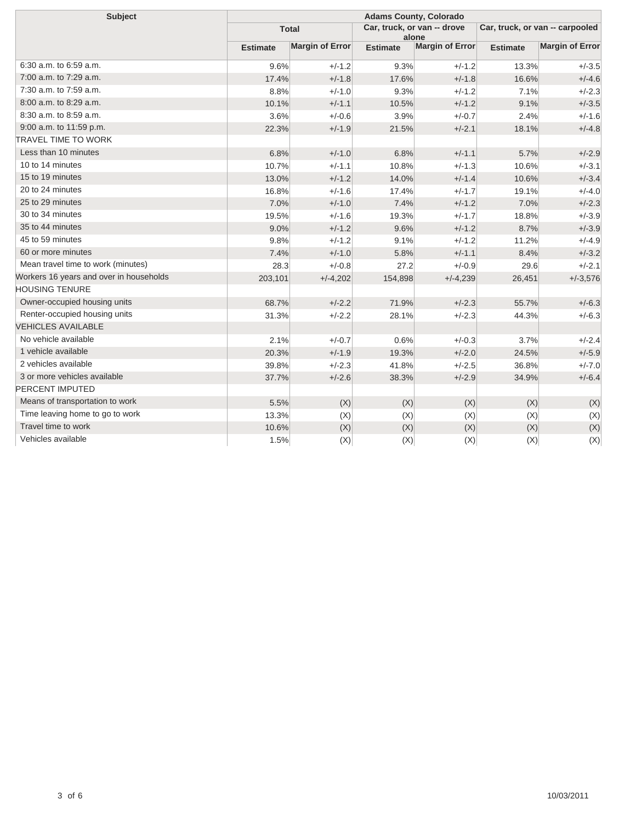| <b>Subject</b>                          | <b>Adams County, Colorado</b> |                        |                                      |                        |                                 |                        |
|-----------------------------------------|-------------------------------|------------------------|--------------------------------------|------------------------|---------------------------------|------------------------|
|                                         | <b>Total</b>                  |                        | Car, truck, or van -- drove<br>alone |                        | Car, truck, or van -- carpooled |                        |
|                                         | <b>Estimate</b>               | <b>Margin of Error</b> | <b>Estimate</b>                      | <b>Margin of Error</b> | <b>Estimate</b>                 | <b>Margin of Error</b> |
| 6:30 a.m. to 6:59 a.m.                  | 9.6%                          | $+/-1.2$               | 9.3%                                 | $+/-1.2$               | 13.3%                           | $+/-3.5$               |
| 7:00 a.m. to 7:29 a.m.                  | 17.4%                         | $+/-1.8$               | 17.6%                                | $+/-1.8$               | 16.6%                           | $+/-4.6$               |
| 7:30 a.m. to 7:59 a.m.                  | 8.8%                          | $+/-1.0$               | 9.3%                                 | $+/-1.2$               | 7.1%                            | $+/-2.3$               |
| 8:00 a.m. to 8:29 a.m.                  | 10.1%                         | $+/-1.1$               | 10.5%                                | $+/-1.2$               | 9.1%                            | $+/-3.5$               |
| 8:30 a.m. to 8:59 a.m.                  | 3.6%                          | $+/-0.6$               | 3.9%                                 | $+/-0.7$               | 2.4%                            | $+/-1.6$               |
| 9:00 a.m. to 11:59 p.m.                 | 22.3%                         | $+/-1.9$               | 21.5%                                | $+/-2.1$               | 18.1%                           | $+/-4.8$               |
| <b>TRAVEL TIME TO WORK</b>              |                               |                        |                                      |                        |                                 |                        |
| Less than 10 minutes                    | 6.8%                          | $+/-1.0$               | 6.8%                                 | $+/-1.1$               | 5.7%                            | $+/-2.9$               |
| 10 to 14 minutes                        | 10.7%                         | $+/-1.1$               | 10.8%                                | $+/-1.3$               | 10.6%                           | $+/-3.1$               |
| 15 to 19 minutes                        | 13.0%                         | $+/-1.2$               | 14.0%                                | $+/-1.4$               | 10.6%                           | $+/-3.4$               |
| 20 to 24 minutes                        | 16.8%                         | $+/-1.6$               | 17.4%                                | $+/-1.7$               | 19.1%                           | $+/-4.0$               |
| 25 to 29 minutes                        | 7.0%                          | $+/-1.0$               | 7.4%                                 | $+/-1.2$               | 7.0%                            | $+/-2.3$               |
| 30 to 34 minutes                        | 19.5%                         | $+/-1.6$               | 19.3%                                | $+/-1.7$               | 18.8%                           | $+/-3.9$               |
| 35 to 44 minutes                        | 9.0%                          | $+/-1.2$               | 9.6%                                 | $+/-1.2$               | 8.7%                            | $+/-3.9$               |
| 45 to 59 minutes                        | 9.8%                          | $+/-1.2$               | 9.1%                                 | $+/-1.2$               | 11.2%                           | $+/-4.9$               |
| 60 or more minutes                      | 7.4%                          | $+/-1.0$               | 5.8%                                 | $+/-1.1$               | 8.4%                            | $+/-3.2$               |
| Mean travel time to work (minutes)      | 28.3                          | $+/-0.8$               | 27.2                                 | $+/-0.9$               | 29.6                            | $+/-2.1$               |
| Workers 16 years and over in households | 203,101                       | $+/-4,202$             | 154,898                              | $+/-4,239$             | 26,451                          | $+/-3,576$             |
| <b>HOUSING TENURE</b>                   |                               |                        |                                      |                        |                                 |                        |
| Owner-occupied housing units            | 68.7%                         | $+/-2.2$               | 71.9%                                | $+/-2.3$               | 55.7%                           | $+/-6.3$               |
| Renter-occupied housing units           | 31.3%                         | $+/-2.2$               | 28.1%                                | $+/-2.3$               | 44.3%                           | $+/-6.3$               |
| <b>VEHICLES AVAILABLE</b>               |                               |                        |                                      |                        |                                 |                        |
| No vehicle available                    | 2.1%                          | $+/-0.7$               | 0.6%                                 | $+/-0.3$               | 3.7%                            | $+/-2.4$               |
| 1 vehicle available                     | 20.3%                         | $+/-1.9$               | 19.3%                                | $+/-2.0$               | 24.5%                           | $+/-5.9$               |
| 2 vehicles available                    | 39.8%                         | $+/-2.3$               | 41.8%                                | $+/-2.5$               | 36.8%                           | $+/-7.0$               |
| 3 or more vehicles available            | 37.7%                         | $+/-2.6$               | 38.3%                                | $+/-2.9$               | 34.9%                           | $+/-6.4$               |
| PERCENT IMPUTED                         |                               |                        |                                      |                        |                                 |                        |
| Means of transportation to work         | 5.5%                          | (X)                    | (X)                                  | (X)                    | (X)                             | (X)                    |
| Time leaving home to go to work         | 13.3%                         | (X)                    | (X)                                  | (X)                    | (X)                             | (X)                    |
| Travel time to work                     | 10.6%                         | (X)                    | (X)                                  | (X)                    | (X)                             | (X)                    |
| Vehicles available                      | 1.5%                          | (X)                    | (X)                                  | (X)                    | (X)                             | (X)                    |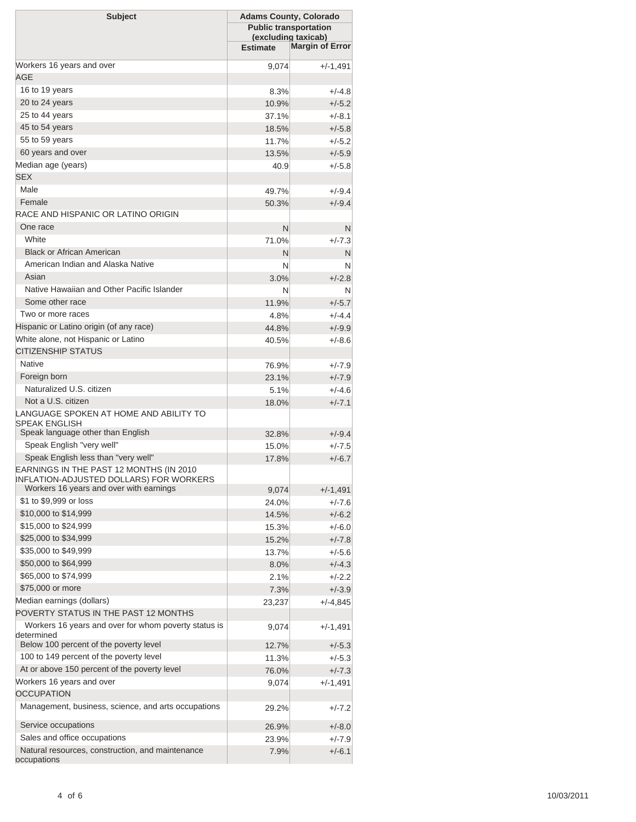| <b>Subject</b>                                                                                                            | <b>Adams County, Colorado</b><br><b>Public transportation</b><br>(excluding taxicab)<br><b>Margin of Error</b><br><b>Estimate</b> |                      |  |  |
|---------------------------------------------------------------------------------------------------------------------------|-----------------------------------------------------------------------------------------------------------------------------------|----------------------|--|--|
| Workers 16 years and over                                                                                                 |                                                                                                                                   |                      |  |  |
| <b>AGE</b>                                                                                                                | 9,074                                                                                                                             | +/-1,491             |  |  |
| 16 to 19 years                                                                                                            | 8.3%                                                                                                                              | $+/-4.8$             |  |  |
| 20 to 24 years                                                                                                            | 10.9%                                                                                                                             | $+/-5.2$             |  |  |
| 25 to 44 years                                                                                                            | 37.1%                                                                                                                             | $+/-8.1$             |  |  |
| 45 to 54 years                                                                                                            | 18.5%                                                                                                                             | $+/-5.8$             |  |  |
| 55 to 59 years                                                                                                            | 11.7%                                                                                                                             | $+/-5.2$             |  |  |
| 60 years and over                                                                                                         | 13.5%                                                                                                                             | $+/-5.9$             |  |  |
| Median age (years)                                                                                                        | 40.9                                                                                                                              | $+/-5.8$             |  |  |
| <b>SEX</b>                                                                                                                |                                                                                                                                   |                      |  |  |
| Male                                                                                                                      | 49.7%                                                                                                                             | $+/-9.4$             |  |  |
| Female                                                                                                                    | 50.3%                                                                                                                             | $+/-9.4$             |  |  |
| RACE AND HISPANIC OR LATINO ORIGIN                                                                                        |                                                                                                                                   |                      |  |  |
| One race                                                                                                                  | N                                                                                                                                 | N                    |  |  |
| White                                                                                                                     | 71.0%                                                                                                                             | $+/-7.3$             |  |  |
| <b>Black or African American</b>                                                                                          | N                                                                                                                                 | N                    |  |  |
| American Indian and Alaska Native                                                                                         | N                                                                                                                                 | N                    |  |  |
| Asian                                                                                                                     | 3.0%                                                                                                                              | $+/-2.8$             |  |  |
| Native Hawaiian and Other Pacific Islander                                                                                | N                                                                                                                                 | N                    |  |  |
| Some other race                                                                                                           | 11.9%                                                                                                                             | $+/-5.7$             |  |  |
| Two or more races                                                                                                         | 4.8%                                                                                                                              | $+/-4.4$             |  |  |
| Hispanic or Latino origin (of any race)                                                                                   | 44.8%                                                                                                                             | $+/-9.9$             |  |  |
| White alone, not Hispanic or Latino                                                                                       | 40.5%                                                                                                                             | $+/-8.6$             |  |  |
| <b>CITIZENSHIP STATUS</b>                                                                                                 |                                                                                                                                   |                      |  |  |
| <b>Native</b>                                                                                                             | 76.9%                                                                                                                             | $+/-7.9$             |  |  |
| Foreign born                                                                                                              | 23.1%                                                                                                                             | $+/-7.9$             |  |  |
| Naturalized U.S. citizen                                                                                                  | 5.1%                                                                                                                              | $+/-4.6$             |  |  |
| Not a U.S. citizen                                                                                                        | 18.0%                                                                                                                             | $+/-7.1$             |  |  |
| LANGUAGE SPOKEN AT HOME AND ABILITY TO<br>SPEAK ENGLISH                                                                   |                                                                                                                                   |                      |  |  |
| Speak language other than English                                                                                         | 32.8%                                                                                                                             | $+/-9.4$             |  |  |
| Speak English "very well"                                                                                                 | 15.0%                                                                                                                             | $+/-7.5$             |  |  |
| Speak English less than "very well"<br>EARNINGS IN THE PAST 12 MONTHS (IN 2010<br>INFLATION-ADJUSTED DOLLARS) FOR WORKERS | 17.8%                                                                                                                             | $+/-6.7$             |  |  |
| Workers 16 years and over with earnings                                                                                   | 9,074                                                                                                                             | $+/-1,491$           |  |  |
| \$1 to \$9,999 or loss                                                                                                    | 24.0%                                                                                                                             | $+/-7.6$             |  |  |
| \$10,000 to \$14,999                                                                                                      | 14.5%                                                                                                                             | $+/-6.2$             |  |  |
| \$15,000 to \$24,999                                                                                                      | 15.3%                                                                                                                             | $+/-6.0$             |  |  |
| \$25,000 to \$34,999                                                                                                      | 15.2%                                                                                                                             | $+/-7.8$             |  |  |
| \$35,000 to \$49,999                                                                                                      | 13.7%                                                                                                                             | $+/-5.6$             |  |  |
| \$50,000 to \$64,999                                                                                                      | 8.0%                                                                                                                              | $+/-4.3$             |  |  |
| \$65,000 to \$74,999                                                                                                      | 2.1%                                                                                                                              | $+/-2.2$             |  |  |
| \$75,000 or more                                                                                                          | 7.3%                                                                                                                              | $+/-3.9$             |  |  |
| Median earnings (dollars)                                                                                                 | 23,237                                                                                                                            | $+/-4,845$           |  |  |
| POVERTY STATUS IN THE PAST 12 MONTHS                                                                                      |                                                                                                                                   |                      |  |  |
| Workers 16 years and over for whom poverty status is<br>determined                                                        | 9,074                                                                                                                             | $+/-1,491$           |  |  |
| Below 100 percent of the poverty level                                                                                    | 12.7%                                                                                                                             | $+/-5.3$             |  |  |
| 100 to 149 percent of the poverty level                                                                                   | 11.3%                                                                                                                             | $+/-5.3$             |  |  |
| At or above 150 percent of the poverty level                                                                              | 76.0%                                                                                                                             | $+/-7.3$             |  |  |
| Workers 16 years and over<br><b>OCCUPATION</b>                                                                            | 9,074                                                                                                                             | $+/-1,491$           |  |  |
| Management, business, science, and arts occupations                                                                       |                                                                                                                                   |                      |  |  |
| Service occupations                                                                                                       | 29.2%<br>26.9%                                                                                                                    | $+/-7.2$<br>$+/-8.0$ |  |  |
| Sales and office occupations                                                                                              | 23.9%                                                                                                                             | $+/-7.9$             |  |  |
| Natural resources, construction, and maintenance                                                                          | 7.9%                                                                                                                              | $+/-6.1$             |  |  |
| occupations                                                                                                               |                                                                                                                                   |                      |  |  |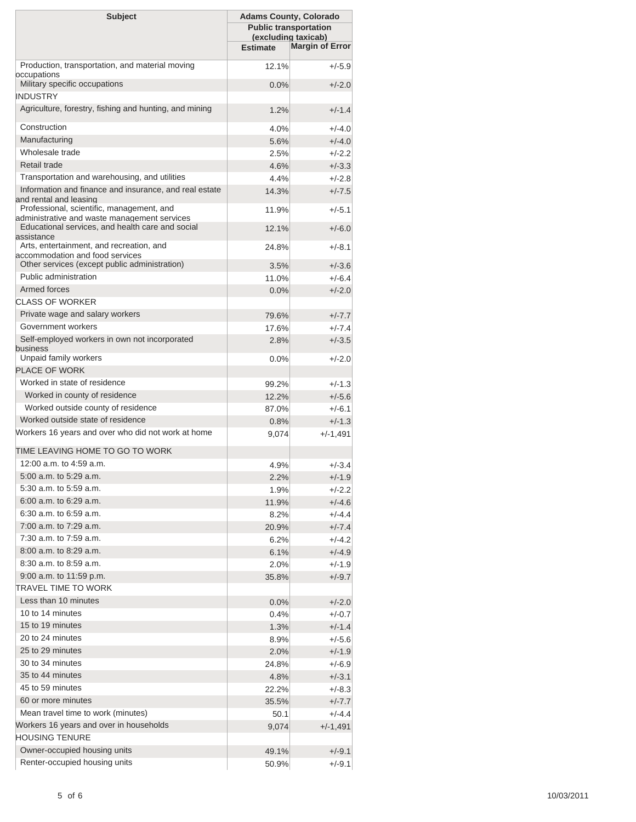| <b>Subject</b>                                                                                   | <b>Adams County, Colorado</b><br><b>Public transportation</b><br>(excluding taxicab)<br><b>Margin of Error</b><br><b>Estimate</b> |                      |  |  |
|--------------------------------------------------------------------------------------------------|-----------------------------------------------------------------------------------------------------------------------------------|----------------------|--|--|
| Production, transportation, and material moving<br>occupations                                   | 12.1%                                                                                                                             | $+/-5.9$             |  |  |
| Military specific occupations                                                                    | 0.0%                                                                                                                              | $+/-2.0$             |  |  |
| <b>INDUSTRY</b><br>Agriculture, forestry, fishing and hunting, and mining                        | 1.2%                                                                                                                              | $+/-1.4$             |  |  |
| Construction                                                                                     | 4.0%                                                                                                                              | $+/-4.0$             |  |  |
| Manufacturing                                                                                    | 5.6%                                                                                                                              | $+/-4.0$             |  |  |
| Wholesale trade                                                                                  | 2.5%                                                                                                                              | $+/-2.2$             |  |  |
| Retail trade                                                                                     | 4.6%                                                                                                                              | $+/-3.3$             |  |  |
| Transportation and warehousing, and utilities                                                    | 4.4%                                                                                                                              | $+/-2.8$             |  |  |
| Information and finance and insurance, and real estate                                           | 14.3%                                                                                                                             | $+/-7.5$             |  |  |
| and rental and leasing<br>Professional, scientific, management, and                              |                                                                                                                                   |                      |  |  |
| administrative and waste management services<br>Educational services, and health care and social | 11.9%<br>12.1%                                                                                                                    | $+/-5.1$<br>$+/-6.0$ |  |  |
| assistance                                                                                       |                                                                                                                                   |                      |  |  |
| Arts, entertainment, and recreation, and<br>accommodation and food services                      | 24.8%                                                                                                                             | $+/-8.1$             |  |  |
| Other services (except public administration)                                                    | 3.5%                                                                                                                              | $+/-3.6$             |  |  |
| Public administration                                                                            | 11.0%                                                                                                                             | $+/-6.4$             |  |  |
| Armed forces                                                                                     | 0.0%                                                                                                                              | $+/-2.0$             |  |  |
| <b>CLASS OF WORKER</b>                                                                           |                                                                                                                                   |                      |  |  |
| Private wage and salary workers                                                                  | 79.6%                                                                                                                             | $+/-7.7$             |  |  |
| Government workers                                                                               | 17.6%                                                                                                                             | $+/-7.4$             |  |  |
| Self-employed workers in own not incorporated<br>business<br>Unpaid family workers               | 2.8%                                                                                                                              | $+/-3.5$<br>$+/-2.0$ |  |  |
| <b>PLACE OF WORK</b>                                                                             | 0.0%                                                                                                                              |                      |  |  |
| Worked in state of residence                                                                     | 99.2%                                                                                                                             | $+/-1.3$             |  |  |
| Worked in county of residence                                                                    | 12.2%                                                                                                                             | $+/-5.6$             |  |  |
| Worked outside county of residence                                                               | 87.0%                                                                                                                             | $+/-6.1$             |  |  |
| Worked outside state of residence                                                                | 0.8%                                                                                                                              | $+/-1.3$             |  |  |
| Workers 16 years and over who did not work at home                                               | 9,074                                                                                                                             | $+/-1,491$           |  |  |
| TIME LEAVING HOME TO GO TO WORK                                                                  |                                                                                                                                   |                      |  |  |
| $12:00$ a.m. to $4:59$ a.m.                                                                      | 4.9%                                                                                                                              | $+/-3.4$             |  |  |
| 5:00 a.m. to 5:29 a.m.                                                                           | 2.2%                                                                                                                              | $+/-1.9$             |  |  |
| 5:30 a.m. to 5:59 a.m.                                                                           | 1.9%                                                                                                                              | $+/-2.2$             |  |  |
| 6:00 a.m. to 6:29 a.m.                                                                           | 11.9%                                                                                                                             | $+/-4.6$             |  |  |
| $6:30$ a.m. to $6:59$ a.m.                                                                       | 8.2%                                                                                                                              | $+/-4.4$             |  |  |
| 7:00 a.m. to 7:29 a.m.                                                                           | 20.9%                                                                                                                             | $+/-7.4$             |  |  |
| 7:30 a.m. to 7:59 a.m.                                                                           | 6.2%                                                                                                                              | $+/-4.2$             |  |  |
| $8:00$ a.m. to $8:29$ a.m.                                                                       | 6.1%                                                                                                                              | $+/-4.9$             |  |  |
| 8:30 a.m. to 8:59 a.m.                                                                           | 2.0%                                                                                                                              | $+/-1.9$             |  |  |
| 9:00 a.m. to 11:59 p.m.                                                                          | 35.8%                                                                                                                             | $+/-9.7$             |  |  |
| TRAVEL TIME TO WORK                                                                              |                                                                                                                                   |                      |  |  |
| Less than 10 minutes                                                                             | 0.0%                                                                                                                              | $+/-2.0$             |  |  |
| 10 to 14 minutes                                                                                 | 0.4%                                                                                                                              | $+/-0.7$             |  |  |
| 15 to 19 minutes                                                                                 | 1.3%                                                                                                                              | $+/-1.4$             |  |  |
| 20 to 24 minutes                                                                                 | 8.9%                                                                                                                              | $+/-5.6$             |  |  |
| 25 to 29 minutes                                                                                 | 2.0%                                                                                                                              | $+/-1.9$             |  |  |
| 30 to 34 minutes                                                                                 | 24.8%                                                                                                                             | $+/-6.9$             |  |  |
| 35 to 44 minutes                                                                                 | 4.8%                                                                                                                              | $+/-3.1$             |  |  |
| 45 to 59 minutes                                                                                 | 22.2%                                                                                                                             | $+/-8.3$             |  |  |
| 60 or more minutes                                                                               | 35.5%                                                                                                                             | $+/-7.7$             |  |  |
| Mean travel time to work (minutes)                                                               | 50.1                                                                                                                              | $+/-4.4$             |  |  |
| Workers 16 years and over in households                                                          | 9,074                                                                                                                             | +/-1,491             |  |  |
| <b>HOUSING TENURE</b>                                                                            |                                                                                                                                   |                      |  |  |
| Owner-occupied housing units                                                                     | 49.1%                                                                                                                             | $+/-9.1$             |  |  |
| Renter-occupied housing units                                                                    | 50.9%                                                                                                                             | $+/-9.1$             |  |  |